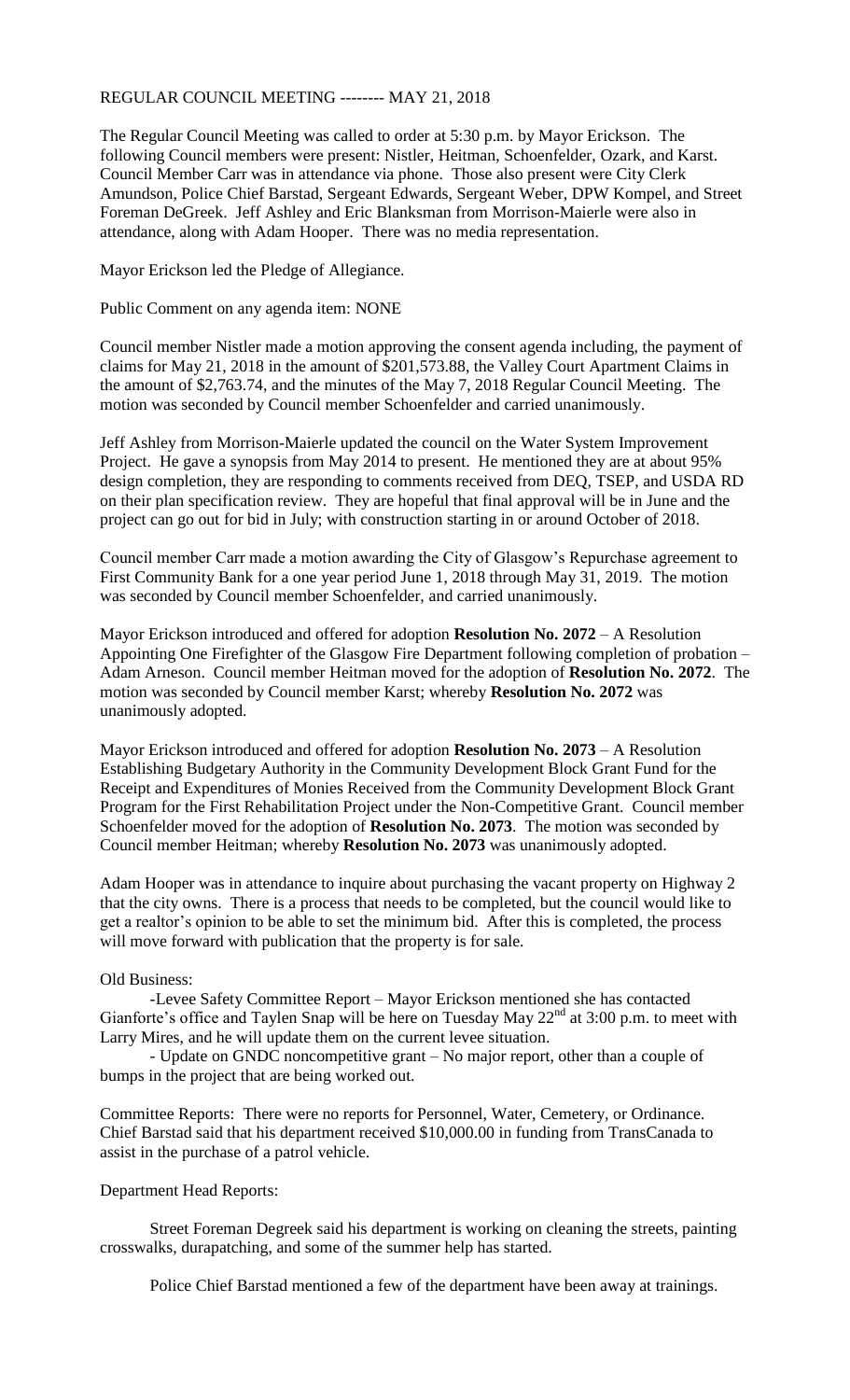## REGULAR COUNCIL MEETING -------- MAY 21, 2018

The Regular Council Meeting was called to order at 5:30 p.m. by Mayor Erickson. The following Council members were present: Nistler, Heitman, Schoenfelder, Ozark, and Karst. Council Member Carr was in attendance via phone. Those also present were City Clerk Amundson, Police Chief Barstad, Sergeant Edwards, Sergeant Weber, DPW Kompel, and Street Foreman DeGreek. Jeff Ashley and Eric Blanksman from Morrison-Maierle were also in attendance, along with Adam Hooper. There was no media representation.

Mayor Erickson led the Pledge of Allegiance.

Public Comment on any agenda item: NONE

Council member Nistler made a motion approving the consent agenda including, the payment of claims for May 21, 2018 in the amount of \$201,573.88, the Valley Court Apartment Claims in the amount of \$2,763.74, and the minutes of the May 7, 2018 Regular Council Meeting. The motion was seconded by Council member Schoenfelder and carried unanimously.

Jeff Ashley from Morrison-Maierle updated the council on the Water System Improvement Project. He gave a synopsis from May 2014 to present. He mentioned they are at about 95% design completion, they are responding to comments received from DEQ, TSEP, and USDA RD on their plan specification review. They are hopeful that final approval will be in June and the project can go out for bid in July; with construction starting in or around October of 2018.

Council member Carr made a motion awarding the City of Glasgow's Repurchase agreement to First Community Bank for a one year period June 1, 2018 through May 31, 2019. The motion was seconded by Council member Schoenfelder, and carried unanimously.

Mayor Erickson introduced and offered for adoption **Resolution No. 2072** – A Resolution Appointing One Firefighter of the Glasgow Fire Department following completion of probation – Adam Arneson. Council member Heitman moved for the adoption of **Resolution No. 2072**. The motion was seconded by Council member Karst; whereby **Resolution No. 2072** was unanimously adopted.

Mayor Erickson introduced and offered for adoption **Resolution No. 2073** – A Resolution Establishing Budgetary Authority in the Community Development Block Grant Fund for the Receipt and Expenditures of Monies Received from the Community Development Block Grant Program for the First Rehabilitation Project under the Non-Competitive Grant. Council member Schoenfelder moved for the adoption of **Resolution No. 2073**. The motion was seconded by Council member Heitman; whereby **Resolution No. 2073** was unanimously adopted.

Adam Hooper was in attendance to inquire about purchasing the vacant property on Highway 2 that the city owns. There is a process that needs to be completed, but the council would like to get a realtor's opinion to be able to set the minimum bid. After this is completed, the process will move forward with publication that the property is for sale.

## Old Business:

-Levee Safety Committee Report – Mayor Erickson mentioned she has contacted Gianforte's office and Taylen Snap will be here on Tuesday May 22<sup>nd</sup> at 3:00 p.m. to meet with Larry Mires, and he will update them on the current levee situation.

- Update on GNDC noncompetitive grant – No major report, other than a couple of bumps in the project that are being worked out.

Committee Reports: There were no reports for Personnel, Water, Cemetery, or Ordinance. Chief Barstad said that his department received \$10,000.00 in funding from TransCanada to assist in the purchase of a patrol vehicle.

## Department Head Reports:

Street Foreman Degreek said his department is working on cleaning the streets, painting crosswalks, durapatching, and some of the summer help has started.

Police Chief Barstad mentioned a few of the department have been away at trainings.